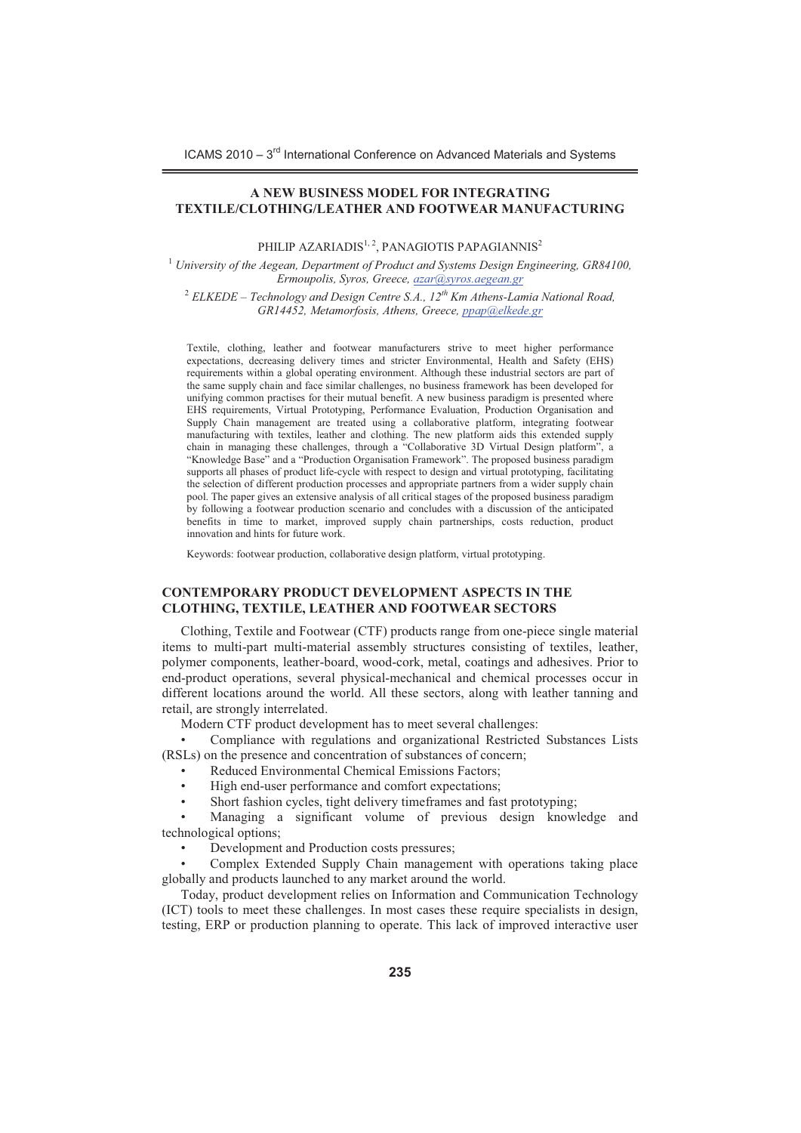ICAMS 2010 – 3<sup>rd</sup> International Conference on Advanced Materials and Systems

## **A NEW BUSINESS MODEL FOR INTEGRATING TEXTILE/CLOTHING/LEATHER AND FOOTWEAR MANUFACTURING**

PHILIP AZARIADIS $1, 2$ , PANAGIOTIS PAPAGIANNIS<sup>2</sup>

<sup>1</sup> *University of the Aegean, Department of Product and Systems Design Engineering, GR84100, Ermoupolis, Syros, Greece, azar@syros.aegean.gr* 

<sup>2</sup> *ELKEDE – Technology and Design Centre S.A., 12th Km Athens-Lamia National Road, GR14452, Metamorfosis, Athens, Greece, ppap@elkede.gr* 

Textile, clothing, leather and footwear manufacturers strive to meet higher performance expectations, decreasing delivery times and stricter Environmental, Health and Safety (EHS) requirements within a global operating environment. Although these industrial sectors are part of the same supply chain and face similar challenges, no business framework has been developed for unifying common practises for their mutual benefit. A new business paradigm is presented where EHS requirements, Virtual Prototyping, Performance Evaluation, Production Organisation and Supply Chain management are treated using a collaborative platform, integrating footwear manufacturing with textiles, leather and clothing. The new platform aids this extended supply chain in managing these challenges, through a "Collaborative 3D Virtual Design platform", a "Knowledge Base" and a "Production Organisation Framework". The proposed business paradigm supports all phases of product life-cycle with respect to design and virtual prototyping, facilitating the selection of different production processes and appropriate partners from a wider supply chain pool. The paper gives an extensive analysis of all critical stages of the proposed business paradigm by following a footwear production scenario and concludes with a discussion of the anticipated benefits in time to market, improved supply chain partnerships, costs reduction, product innovation and hints for future work.

Keywords: footwear production, collaborative design platform, virtual prototyping.

#### **CONTEMPORARY PRODUCT DEVELOPMENT ASPECTS IN THE CLOTHING, TEXTILE, LEATHER AND FOOTWEAR SECTORS**

Clothing, Textile and Footwear (CTF) products range from one-piece single material items to multi-part multi-material assembly structures consisting of textiles, leather, polymer components, leather-board, wood-cork, metal, coatings and adhesives. Prior to end-product operations, several physical-mechanical and chemical processes occur in different locations around the world. All these sectors, along with leather tanning and retail, are strongly interrelated.

Modern CTF product development has to meet several challenges:

- Compliance with regulations and organizational Restricted Substances Lists (RSLs) on the presence and concentration of substances of concern;

- -Reduced Environmental Chemical Emissions Factors;
- -High end-user performance and comfort expectations;
- -Short fashion cycles, tight delivery timeframes and fast prototyping;

- Managing a significant volume of previous design knowledge and technological options;

-Development and Production costs pressures;

- Complex Extended Supply Chain management with operations taking place globally and products launched to any market around the world.

Today, product development relies on Information and Communication Technology (ICT) tools to meet these challenges. In most cases these require specialists in design, testing, ERP or production planning to operate. This lack of improved interactive user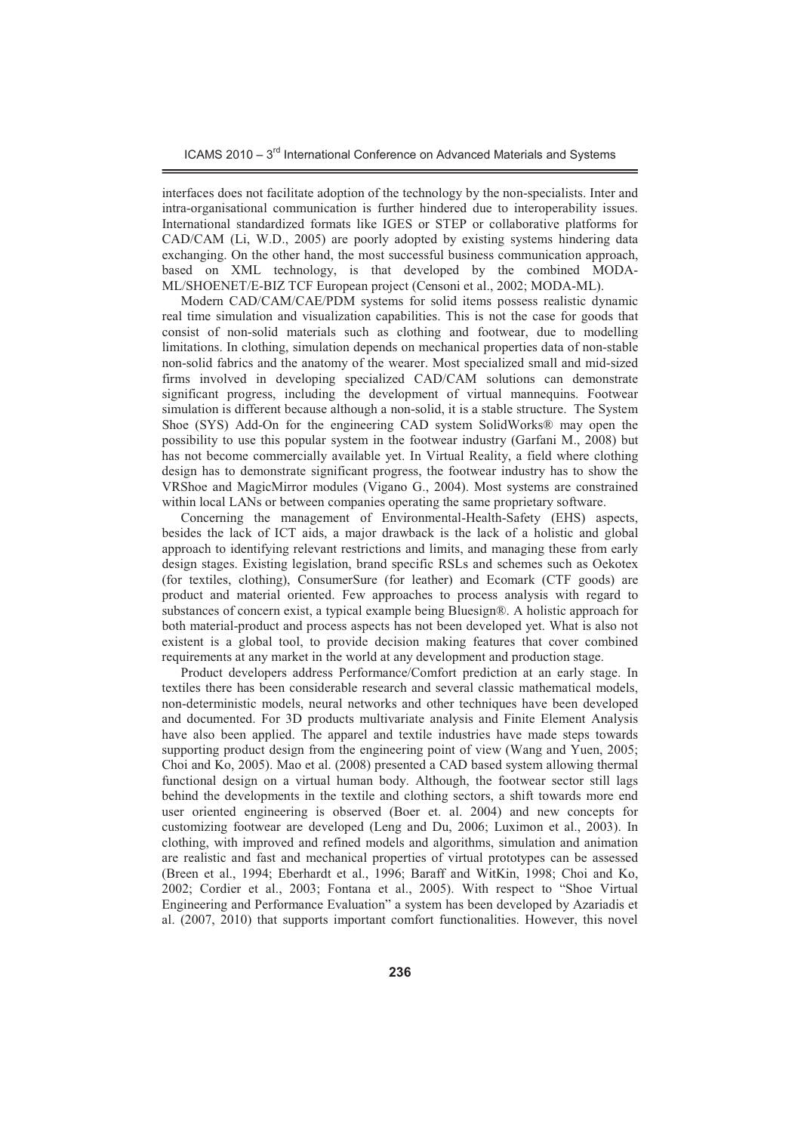ICAMS 2010 – 3<sup>rd</sup> International Conference on Advanced Materials and Systems

interfaces does not facilitate adoption of the technology by the non-specialists. Inter and intra-organisational communication is further hindered due to interoperability issues. International standardized formats like IGES or STEP or collaborative platforms for CAD/CAM (Li, W.D., 2005) are poorly adopted by existing systems hindering data exchanging. On the other hand, the most successful business communication approach, based on XML technology, is that developed by the combined MODA-ML/SHOENET/E-BIZ TCF European project (Censoni et al., 2002; MODA-ML).

Modern CAD/CAM/CAE/PDM systems for solid items possess realistic dynamic real time simulation and visualization capabilities. This is not the case for goods that consist of non-solid materials such as clothing and footwear, due to modelling limitations. In clothing, simulation depends on mechanical properties data of non-stable non-solid fabrics and the anatomy of the wearer. Most specialized small and mid-sized firms involved in developing specialized CAD/CAM solutions can demonstrate significant progress, including the development of virtual mannequins. Footwear simulation is different because although a non-solid, it is a stable structure. The System Shoe (SYS) Add-On for the engineering CAD system SolidWorks® may open the possibility to use this popular system in the footwear industry (Garfani M., 2008) but has not become commercially available yet. In Virtual Reality, a field where clothing design has to demonstrate significant progress, the footwear industry has to show the VRShoe and MagicMirror modules (Vigano G., 2004). Most systems are constrained within local LANs or between companies operating the same proprietary software.

Concerning the management of Environmental-Health-Safety (EHS) aspects, besides the lack of ICT aids, a major drawback is the lack of a holistic and global approach to identifying relevant restrictions and limits, and managing these from early design stages. Existing legislation, brand specific RSLs and schemes such as Oekotex (for textiles, clothing), ConsumerSure (for leather) and Ecomark (CTF goods) are product and material oriented. Few approaches to process analysis with regard to substances of concern exist, a typical example being Bluesign®. A holistic approach for both material-product and process aspects has not been developed yet. What is also not existent is a global tool, to provide decision making features that cover combined requirements at any market in the world at any development and production stage.

Product developers address Performance/Comfort prediction at an early stage. In textiles there has been considerable research and several classic mathematical models, non-deterministic models, neural networks and other techniques have been developed and documented. For 3D products multivariate analysis and Finite Element Analysis have also been applied. The apparel and textile industries have made steps towards supporting product design from the engineering point of view (Wang and Yuen, 2005; Choi and Ko, 2005). Mao et al. (2008) presented a CAD based system allowing thermal functional design on a virtual human body. Although, the footwear sector still lags behind the developments in the textile and clothing sectors, a shift towards more end user oriented engineering is observed (Boer et. al. 2004) and new concepts for customizing footwear are developed (Leng and Du, 2006; Luximon et al., 2003). In clothing, with improved and refined models and algorithms, simulation and animation are realistic and fast and mechanical properties of virtual prototypes can be assessed (Breen et al., 1994; Eberhardt et al., 1996; Baraff and WitKin, 1998; Choi and Ko, 2002; Cordier et al., 2003; Fontana et al., 2005). With respect to "Shoe Virtual Engineering and Performance Evaluation" a system has been developed by Azariadis et al. (2007, 2010) that supports important comfort functionalities. However, this novel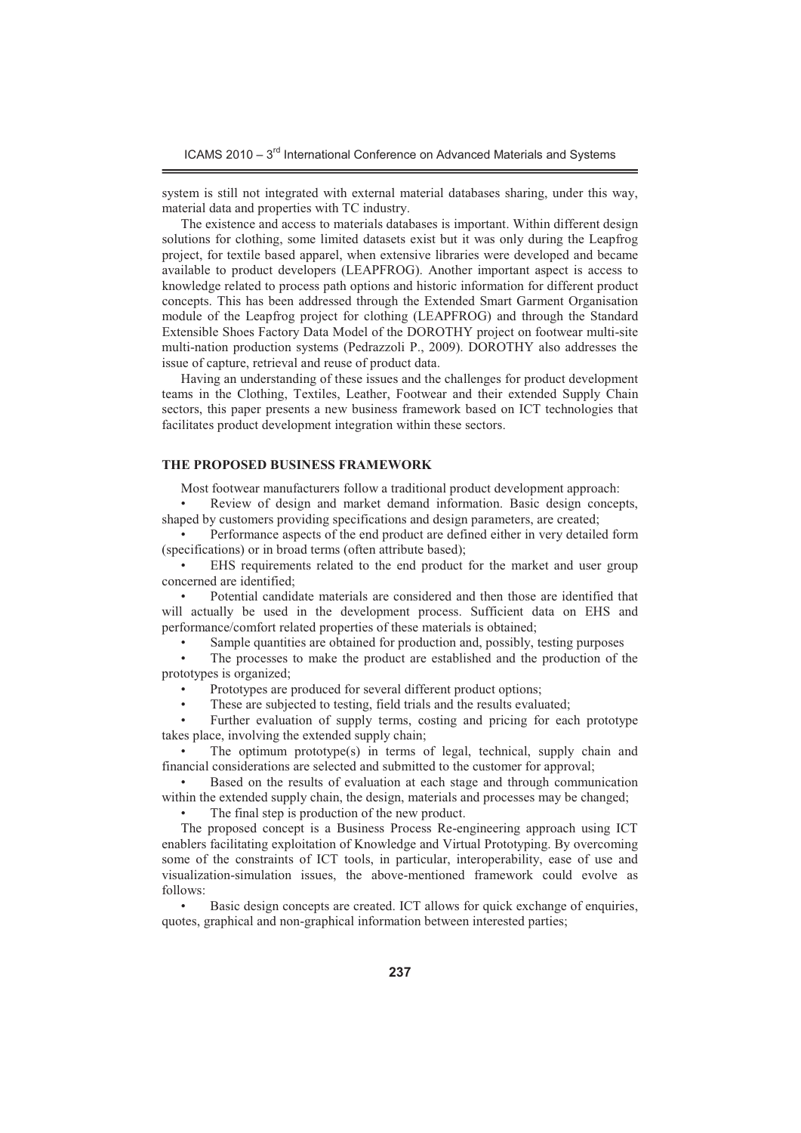system is still not integrated with external material databases sharing, under this way, material data and properties with TC industry.

The existence and access to materials databases is important. Within different design solutions for clothing, some limited datasets exist but it was only during the Leapfrog project, for textile based apparel, when extensive libraries were developed and became available to product developers (LEAPFROG). Another important aspect is access to knowledge related to process path options and historic information for different product concepts. This has been addressed through the Extended Smart Garment Organisation module of the Leapfrog project for clothing (LEAPFROG) and through the Standard Extensible Shoes Factory Data Model of the DOROTHY project on footwear multi-site multi-nation production systems (Pedrazzoli P., 2009). DOROTHY also addresses the issue of capture, retrieval and reuse of product data.

Having an understanding of these issues and the challenges for product development teams in the Clothing, Textiles, Leather, Footwear and their extended Supply Chain sectors, this paper presents a new business framework based on ICT technologies that facilitates product development integration within these sectors.

### **THE PROPOSED BUSINESS FRAMEWORK**

Most footwear manufacturers follow a traditional product development approach:

- Review of design and market demand information. Basic design concepts, shaped by customers providing specifications and design parameters, are created;

- Performance aspects of the end product are defined either in very detailed form (specifications) or in broad terms (often attribute based);

- EHS requirements related to the end product for the market and user group concerned are identified;

- Potential candidate materials are considered and then those are identified that will actually be used in the development process. Sufficient data on EHS and performance/comfort related properties of these materials is obtained;

-Sample quantities are obtained for production and, possibly, testing purposes

- The processes to make the product are established and the production of the prototypes is organized;

-Prototypes are produced for several different product options;

-These are subjected to testing, field trials and the results evaluated;

- Further evaluation of supply terms, costing and pricing for each prototype takes place, involving the extended supply chain;

- The optimum prototype(s) in terms of legal, technical, supply chain and financial considerations are selected and submitted to the customer for approval;

- Based on the results of evaluation at each stage and through communication within the extended supply chain, the design, materials and processes may be changed;

-The final step is production of the new product.

The proposed concept is a Business Process Re-engineering approach using ICT enablers facilitating exploitation of Knowledge and Virtual Prototyping. By overcoming some of the constraints of ICT tools, in particular, interoperability, ease of use and visualization-simulation issues, the above-mentioned framework could evolve as follows:

- Basic design concepts are created. ICT allows for quick exchange of enquiries, quotes, graphical and non-graphical information between interested parties;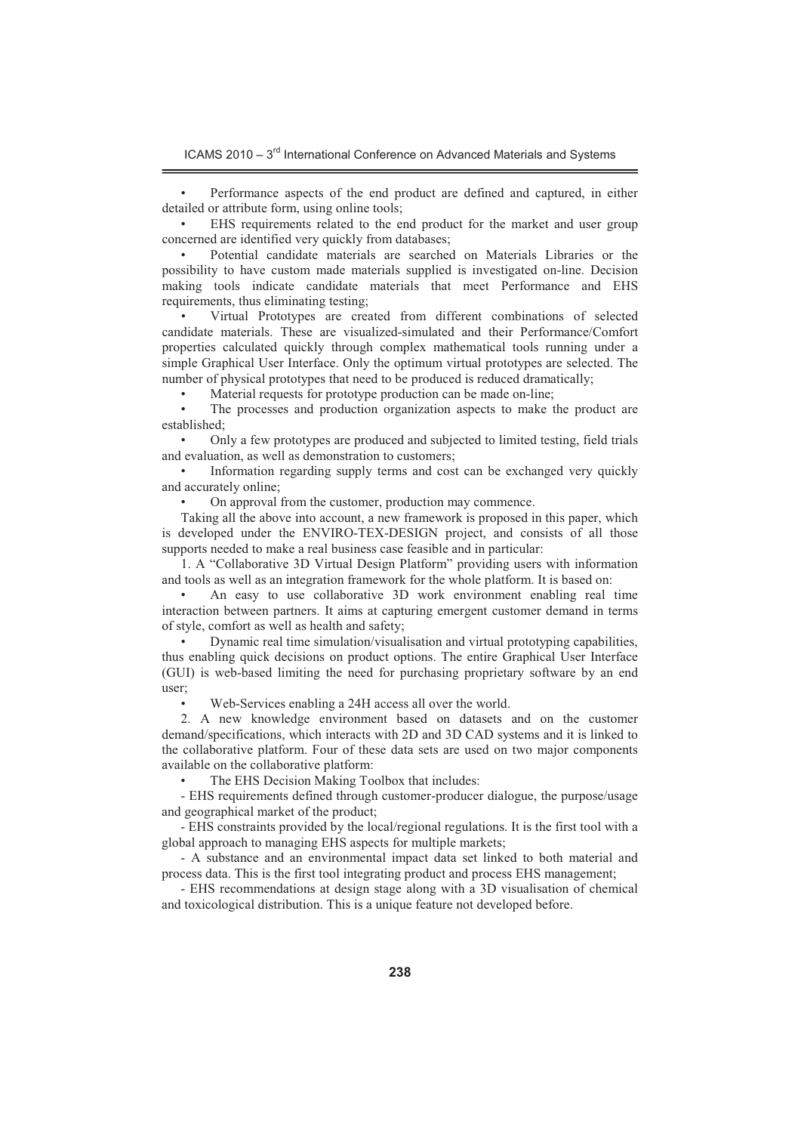- Performance aspects of the end product are defined and captured, in either detailed or attribute form, using online tools;

- EHS requirements related to the end product for the market and user group concerned are identified very quickly from databases;

- Potential candidate materials are searched on Materials Libraries or the possibility to have custom made materials supplied is investigated on-line. Decision making tools indicate candidate materials that meet Performance and EHS requirements, thus eliminating testing;

- Virtual Prototypes are created from different combinations of selected candidate materials. These are visualized-simulated and their Performance/Comfort properties calculated quickly through complex mathematical tools running under a simple Graphical User Interface. Only the optimum virtual prototypes are selected. The number of physical prototypes that need to be produced is reduced dramatically;

-Material requests for prototype production can be made on-line;

- The processes and production organization aspects to make the product are established;

- Only a few prototypes are produced and subjected to limited testing, field trials and evaluation, as well as demonstration to customers;

- Information regarding supply terms and cost can be exchanged very quickly and accurately online;

-On approval from the customer, production may commence.

Taking all the above into account, a new framework is proposed in this paper, which is developed under the ENVIRO-TEX-DESIGN project, and consists of all those supports needed to make a real business case feasible and in particular:

1. A "Collaborative 3D Virtual Design Platform" providing users with information and tools as well as an integration framework for the whole platform. It is based on:

- An easy to use collaborative 3D work environment enabling real time interaction between partners. It aims at capturing emergent customer demand in terms of style, comfort as well as health and safety;

-Dynamic real time simulation/visualisation and virtual prototyping capabilities, thus enabling quick decisions on product options. The entire Graphical User Interface (GUI) is web-based limiting the need for purchasing proprietary software by an end user;

-Web-Services enabling a 24H access all over the world.

2. A new knowledge environment based on datasets and on the customer demand/specifications, which interacts with 2D and 3D CAD systems and it is linked to the collaborative platform. Four of these data sets are used on two major components available on the collaborative platform:

-The EHS Decision Making Toolbox that includes:

- EHS requirements defined through customer-producer dialogue, the purpose/usage and geographical market of the product;

- EHS constraints provided by the local/regional regulations. It is the first tool with a global approach to managing EHS aspects for multiple markets;

- A substance and an environmental impact data set linked to both material and process data. This is the first tool integrating product and process EHS management;

- EHS recommendations at design stage along with a 3D visualisation of chemical and toxicological distribution. This is a unique feature not developed before.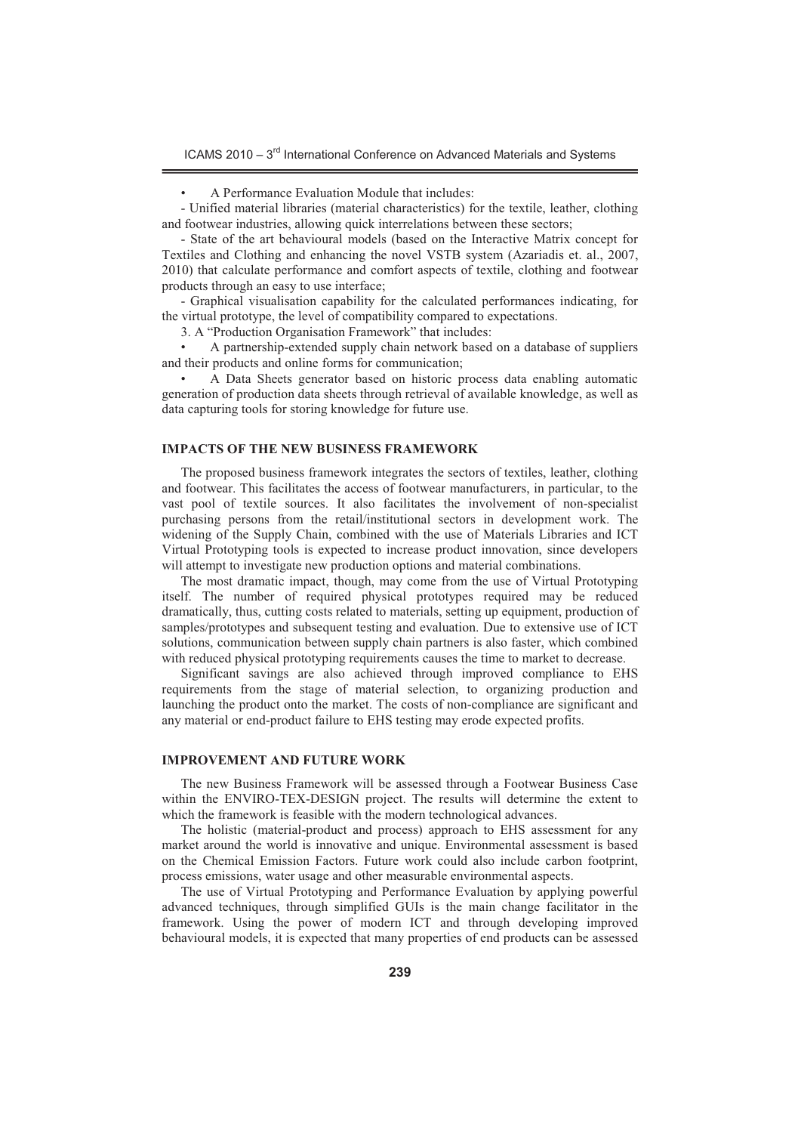ICAMS 2010 – 3<sup>rd</sup> International Conference on Advanced Materials and Systems

-

- Unified material libraries (material characteristics) for the textile, leather, clothing and footwear industries, allowing quick interrelations between these sectors;

- State of the art behavioural models (based on the Interactive Matrix concept for Textiles and Clothing and enhancing the novel VSTB system (Azariadis et. al., 2007, 2010) that calculate performance and comfort aspects of textile, clothing and footwear products through an easy to use interface;

- Graphical visualisation capability for the calculated performances indicating, for the virtual prototype, the level of compatibility compared to expectations.

3. A "Production Organisation Framework" that includes:

- A partnership-extended supply chain network based on a database of suppliers and their products and online forms for communication;

- A Data Sheets generator based on historic process data enabling automatic generation of production data sheets through retrieval of available knowledge, as well as data capturing tools for storing knowledge for future use.

## **IMPACTS OF THE NEW BUSINESS FRAMEWORK**

The proposed business framework integrates the sectors of textiles, leather, clothing and footwear. This facilitates the access of footwear manufacturers, in particular, to the vast pool of textile sources. It also facilitates the involvement of non-specialist purchasing persons from the retail/institutional sectors in development work. The widening of the Supply Chain, combined with the use of Materials Libraries and ICT Virtual Prototyping tools is expected to increase product innovation, since developers will attempt to investigate new production options and material combinations.

The most dramatic impact, though, may come from the use of Virtual Prototyping itself. The number of required physical prototypes required may be reduced dramatically, thus, cutting costs related to materials, setting up equipment, production of samples/prototypes and subsequent testing and evaluation. Due to extensive use of ICT solutions, communication between supply chain partners is also faster, which combined with reduced physical prototyping requirements causes the time to market to decrease.

Significant savings are also achieved through improved compliance to EHS requirements from the stage of material selection, to organizing production and launching the product onto the market. The costs of non-compliance are significant and any material or end-product failure to EHS testing may erode expected profits.

# **IMPROVEMENT AND FUTURE WORK**

The new Business Framework will be assessed through a Footwear Business Case within the ENVIRO-TEX-DESIGN project. The results will determine the extent to which the framework is feasible with the modern technological advances.

The holistic (material-product and process) approach to EHS assessment for any market around the world is innovative and unique. Environmental assessment is based on the Chemical Emission Factors. Future work could also include carbon footprint, process emissions, water usage and other measurable environmental aspects.

The use of Virtual Prototyping and Performance Evaluation by applying powerful advanced techniques, through simplified GUIs is the main change facilitator in the framework. Using the power of modern ICT and through developing improved behavioural models, it is expected that many properties of end products can be assessed

A Performance Evaluation Module that includes: